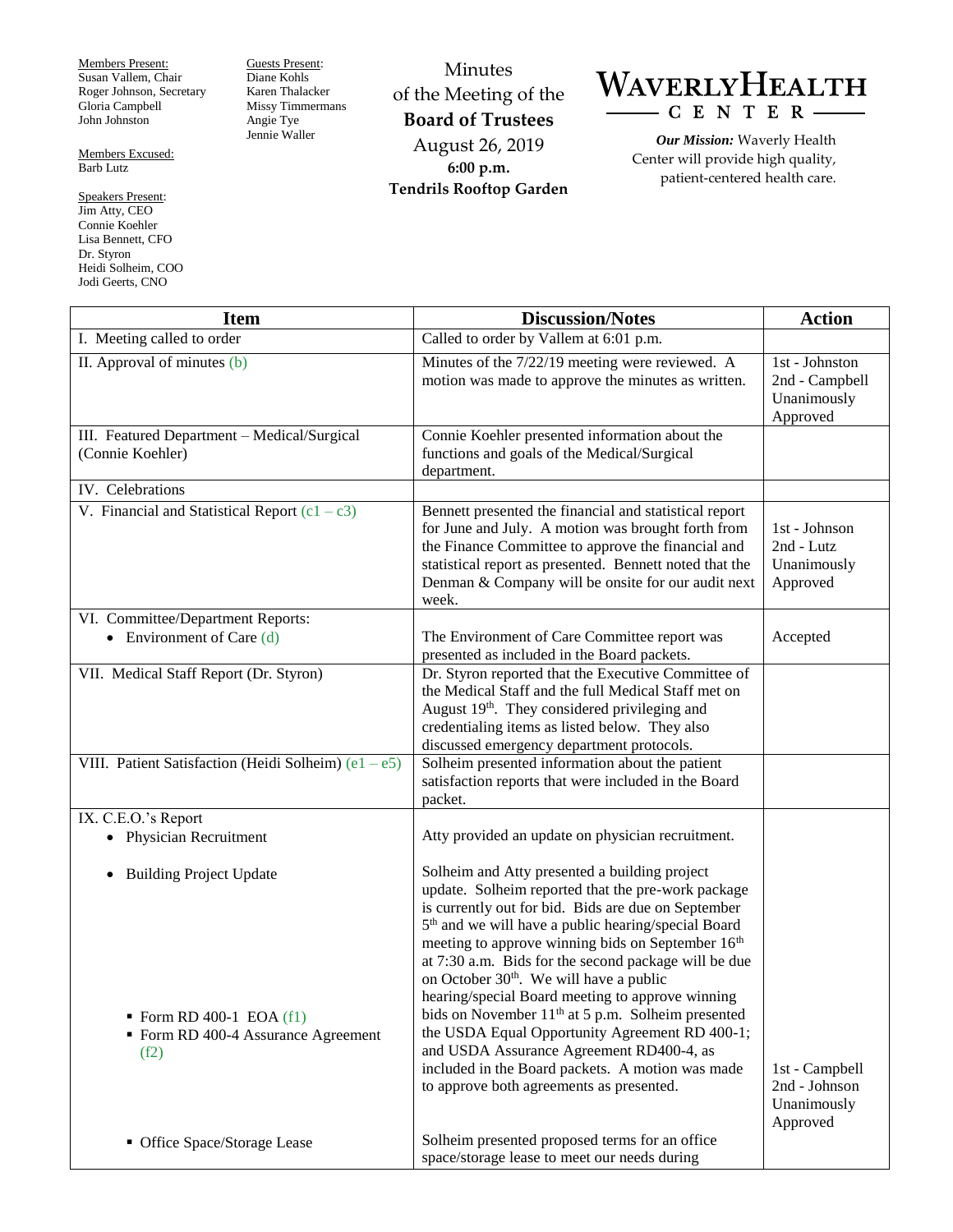Members Present: Susan Vallem, Chair Roger Johnson, Secretary Gloria Campbell John Johnston

Members Excused: Barb Lutz

Speakers Present: Jim Atty, CEO Connie Koehler Lisa Bennett, CFO Dr. Styron Heidi Solheim, COO Jodi Geerts, CNO

Guests Present: Diane Kohls Karen Thalacker Missy Timmermans Angie Tye Jennie Waller

Minutes of the Meeting of the **Board of Trustees** August 26, 2019 **6:00 p.m. Tendrils Rooftop Garden**



*Our Mission:* Waverly Health Center will provide high quality, patient-centered health care.

| <b>Item</b>                                                                                                            | <b>Discussion/Notes</b>                                                                                                                                                                                                                                                                                                                                                                                                                                                                                                                                                                                                                                                                                              | <b>Action</b>                                               |
|------------------------------------------------------------------------------------------------------------------------|----------------------------------------------------------------------------------------------------------------------------------------------------------------------------------------------------------------------------------------------------------------------------------------------------------------------------------------------------------------------------------------------------------------------------------------------------------------------------------------------------------------------------------------------------------------------------------------------------------------------------------------------------------------------------------------------------------------------|-------------------------------------------------------------|
| I. Meeting called to order                                                                                             | Called to order by Vallem at 6:01 p.m.                                                                                                                                                                                                                                                                                                                                                                                                                                                                                                                                                                                                                                                                               |                                                             |
| II. Approval of minutes (b)                                                                                            | Minutes of the 7/22/19 meeting were reviewed. A<br>motion was made to approve the minutes as written.                                                                                                                                                                                                                                                                                                                                                                                                                                                                                                                                                                                                                | 1st - Johnston<br>2nd - Campbell<br>Unanimously<br>Approved |
| III. Featured Department - Medical/Surgical<br>(Connie Koehler)                                                        | Connie Koehler presented information about the<br>functions and goals of the Medical/Surgical<br>department.                                                                                                                                                                                                                                                                                                                                                                                                                                                                                                                                                                                                         |                                                             |
| IV. Celebrations                                                                                                       |                                                                                                                                                                                                                                                                                                                                                                                                                                                                                                                                                                                                                                                                                                                      |                                                             |
| V. Financial and Statistical Report $(c1 - c3)$                                                                        | Bennett presented the financial and statistical report<br>for June and July. A motion was brought forth from<br>the Finance Committee to approve the financial and<br>statistical report as presented. Bennett noted that the<br>Denman & Company will be onsite for our audit next<br>week.                                                                                                                                                                                                                                                                                                                                                                                                                         | 1st - Johnson<br>2nd - Lutz<br>Unanimously<br>Approved      |
| VI. Committee/Department Reports:                                                                                      |                                                                                                                                                                                                                                                                                                                                                                                                                                                                                                                                                                                                                                                                                                                      |                                                             |
| Environment of Care (d)                                                                                                | The Environment of Care Committee report was<br>presented as included in the Board packets.                                                                                                                                                                                                                                                                                                                                                                                                                                                                                                                                                                                                                          | Accepted                                                    |
| VII. Medical Staff Report (Dr. Styron)                                                                                 | Dr. Styron reported that the Executive Committee of<br>the Medical Staff and the full Medical Staff met on<br>August 19th. They considered privileging and<br>credentialing items as listed below. They also<br>discussed emergency department protocols.                                                                                                                                                                                                                                                                                                                                                                                                                                                            |                                                             |
| VIII. Patient Satisfaction (Heidi Solheim) $(e1 - e5)$                                                                 | Solheim presented information about the patient<br>satisfaction reports that were included in the Board<br>packet.                                                                                                                                                                                                                                                                                                                                                                                                                                                                                                                                                                                                   |                                                             |
| IX. C.E.O.'s Report                                                                                                    |                                                                                                                                                                                                                                                                                                                                                                                                                                                                                                                                                                                                                                                                                                                      |                                                             |
| <b>Physician Recruitment</b><br>$\bullet$                                                                              | Atty provided an update on physician recruitment.                                                                                                                                                                                                                                                                                                                                                                                                                                                                                                                                                                                                                                                                    |                                                             |
| <b>Building Project Update</b><br>$\bullet$<br>Form RD 400-1 EOA $(f1)$<br>• Form RD 400-4 Assurance Agreement<br>(f2) | Solheim and Atty presented a building project<br>update. Solheim reported that the pre-work package<br>is currently out for bid. Bids are due on September<br>5 <sup>th</sup> and we will have a public hearing/special Board<br>meeting to approve winning bids on September 16th<br>at 7:30 a.m. Bids for the second package will be due<br>on October 30 <sup>th</sup> . We will have a public<br>hearing/special Board meeting to approve winning<br>bids on November 11 <sup>th</sup> at 5 p.m. Solheim presented<br>the USDA Equal Opportunity Agreement RD 400-1;<br>and USDA Assurance Agreement RD400-4, as<br>included in the Board packets. A motion was made<br>to approve both agreements as presented. | 1st - Campbell<br>2nd - Johnson<br>Unanimously<br>Approved  |
| • Office Space/Storage Lease                                                                                           | Solheim presented proposed terms for an office<br>space/storage lease to meet our needs during                                                                                                                                                                                                                                                                                                                                                                                                                                                                                                                                                                                                                       |                                                             |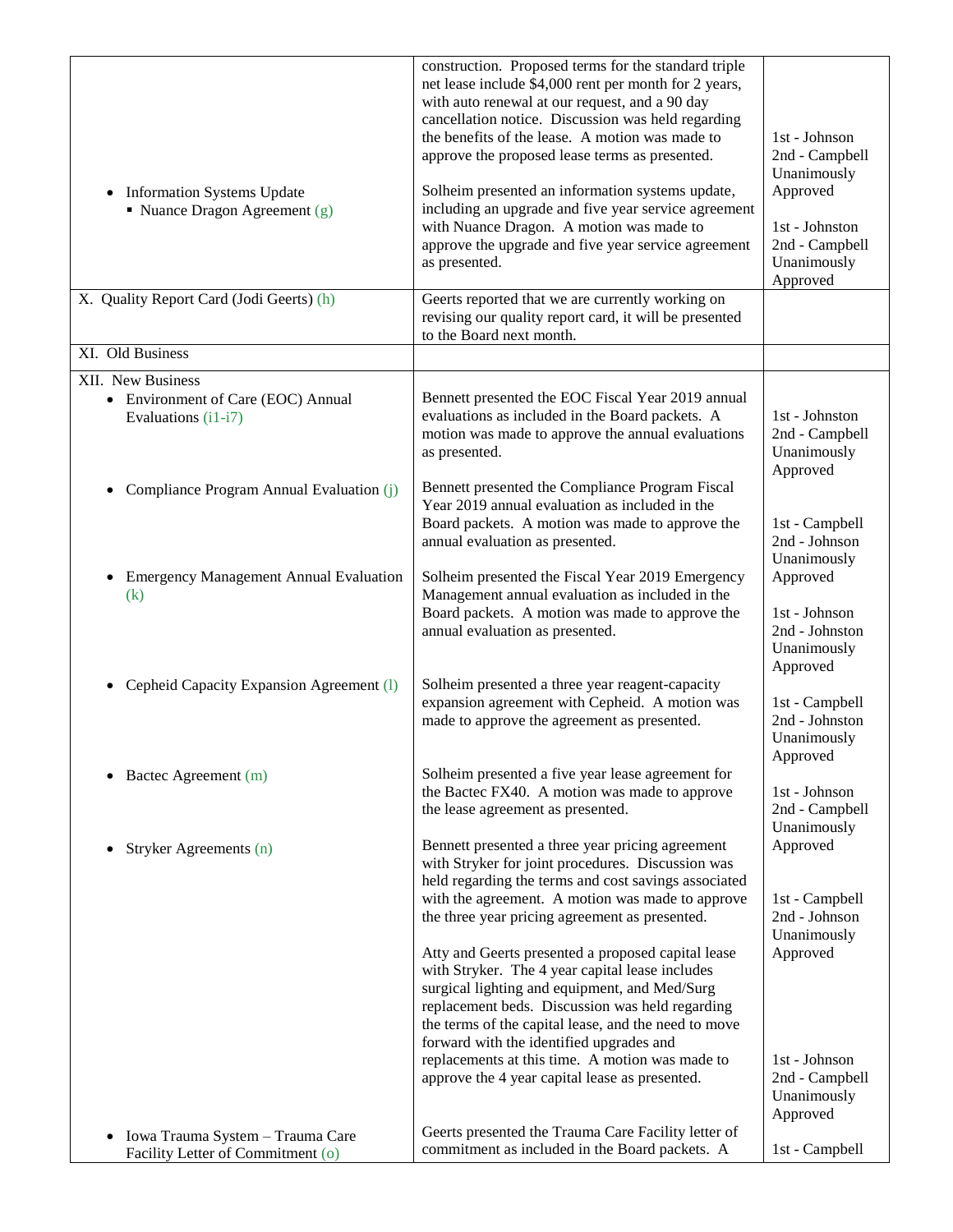| <b>Information Systems Update</b><br>$\bullet$<br>• Nuance Dragon Agreement $(g)$  | construction. Proposed terms for the standard triple<br>net lease include \$4,000 rent per month for 2 years,<br>with auto renewal at our request, and a 90 day<br>cancellation notice. Discussion was held regarding<br>the benefits of the lease. A motion was made to<br>approve the proposed lease terms as presented.<br>Solheim presented an information systems update,<br>including an upgrade and five year service agreement<br>with Nuance Dragon. A motion was made to<br>approve the upgrade and five year service agreement<br>as presented. | 1st - Johnson<br>2nd - Campbell<br>Unanimously<br>Approved<br>1st - Johnston<br>2nd - Campbell<br>Unanimously |
|------------------------------------------------------------------------------------|------------------------------------------------------------------------------------------------------------------------------------------------------------------------------------------------------------------------------------------------------------------------------------------------------------------------------------------------------------------------------------------------------------------------------------------------------------------------------------------------------------------------------------------------------------|---------------------------------------------------------------------------------------------------------------|
| X. Quality Report Card (Jodi Geerts) (h)                                           | Geerts reported that we are currently working on                                                                                                                                                                                                                                                                                                                                                                                                                                                                                                           | Approved                                                                                                      |
|                                                                                    | revising our quality report card, it will be presented<br>to the Board next month.                                                                                                                                                                                                                                                                                                                                                                                                                                                                         |                                                                                                               |
| XI. Old Business                                                                   |                                                                                                                                                                                                                                                                                                                                                                                                                                                                                                                                                            |                                                                                                               |
| XII. New Business                                                                  |                                                                                                                                                                                                                                                                                                                                                                                                                                                                                                                                                            |                                                                                                               |
| • Environment of Care (EOC) Annual<br>Evaluations (i1-i7)                          | Bennett presented the EOC Fiscal Year 2019 annual<br>evaluations as included in the Board packets. A<br>motion was made to approve the annual evaluations<br>as presented.                                                                                                                                                                                                                                                                                                                                                                                 | 1st - Johnston<br>2nd - Campbell<br>Unanimously<br>Approved                                                   |
| Compliance Program Annual Evaluation (j)                                           | Bennett presented the Compliance Program Fiscal<br>Year 2019 annual evaluation as included in the<br>Board packets. A motion was made to approve the<br>annual evaluation as presented.                                                                                                                                                                                                                                                                                                                                                                    | 1st - Campbell<br>2nd - Johnson<br>Unanimously                                                                |
| <b>Emergency Management Annual Evaluation</b><br>(k)                               | Solheim presented the Fiscal Year 2019 Emergency<br>Management annual evaluation as included in the<br>Board packets. A motion was made to approve the<br>annual evaluation as presented.                                                                                                                                                                                                                                                                                                                                                                  | Approved<br>1st - Johnson<br>2nd - Johnston<br>Unanimously<br>Approved                                        |
| Cepheid Capacity Expansion Agreement (1)                                           | Solheim presented a three year reagent-capacity<br>expansion agreement with Cepheid. A motion was<br>made to approve the agreement as presented.                                                                                                                                                                                                                                                                                                                                                                                                           | 1st - Campbell<br>2nd - Johnston<br>Unanimously<br>Approved                                                   |
| Bactec Agreement (m)                                                               | Solheim presented a five year lease agreement for<br>the Bactec FX40. A motion was made to approve<br>the lease agreement as presented.                                                                                                                                                                                                                                                                                                                                                                                                                    | 1st - Johnson<br>2nd - Campbell<br>Unanimously                                                                |
| Stryker Agreements (n)<br>$\bullet$                                                | Bennett presented a three year pricing agreement<br>with Stryker for joint procedures. Discussion was<br>held regarding the terms and cost savings associated<br>with the agreement. A motion was made to approve                                                                                                                                                                                                                                                                                                                                          | Approved<br>1st - Campbell                                                                                    |
|                                                                                    | the three year pricing agreement as presented.<br>Atty and Geerts presented a proposed capital lease<br>with Stryker. The 4 year capital lease includes<br>surgical lighting and equipment, and Med/Surg<br>replacement beds. Discussion was held regarding<br>the terms of the capital lease, and the need to move<br>forward with the identified upgrades and                                                                                                                                                                                            | 2nd - Johnson<br>Unanimously<br>Approved                                                                      |
|                                                                                    | replacements at this time. A motion was made to<br>approve the 4 year capital lease as presented.                                                                                                                                                                                                                                                                                                                                                                                                                                                          | 1st - Johnson<br>2nd - Campbell<br>Unanimously<br>Approved                                                    |
| Iowa Trauma System - Trauma Care<br>$\bullet$<br>Facility Letter of Commitment (o) | Geerts presented the Trauma Care Facility letter of<br>commitment as included in the Board packets. A                                                                                                                                                                                                                                                                                                                                                                                                                                                      | 1st - Campbell                                                                                                |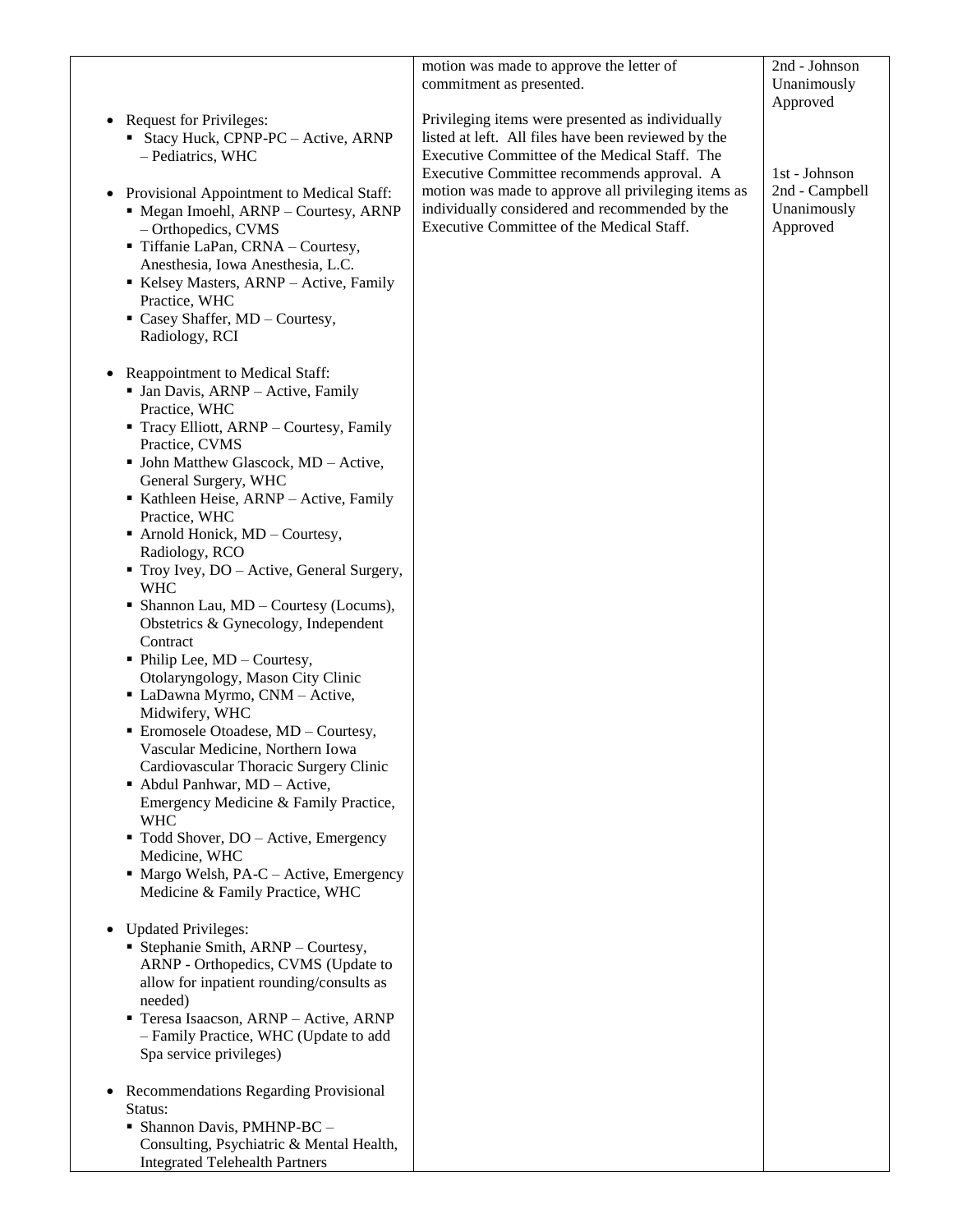|                                                                         | motion was made to approve the letter of                                                                | 2nd - Johnson  |
|-------------------------------------------------------------------------|---------------------------------------------------------------------------------------------------------|----------------|
|                                                                         | commitment as presented.                                                                                | Unanimously    |
|                                                                         |                                                                                                         | Approved       |
| <b>Request for Privileges:</b><br>٠                                     | Privileging items were presented as individually<br>listed at left. All files have been reviewed by the |                |
| Stacy Huck, CPNP-PC - Active, ARNP<br>- Pediatrics, WHC                 | Executive Committee of the Medical Staff. The                                                           |                |
|                                                                         | Executive Committee recommends approval. A                                                              | 1st - Johnson  |
| Provisional Appointment to Medical Staff:<br>٠                          | motion was made to approve all privileging items as                                                     | 2nd - Campbell |
| • Megan Imoehl, ARNP - Courtesy, ARNP                                   | individually considered and recommended by the                                                          | Unanimously    |
| - Orthopedics, CVMS                                                     | Executive Committee of the Medical Staff.                                                               | Approved       |
| Tiffanie LaPan, CRNA - Courtesy,                                        |                                                                                                         |                |
| Anesthesia, Iowa Anesthesia, L.C.                                       |                                                                                                         |                |
| Kelsey Masters, ARNP - Active, Family                                   |                                                                                                         |                |
| Practice, WHC                                                           |                                                                                                         |                |
| • Casey Shaffer, MD - Courtesy,<br>Radiology, RCI                       |                                                                                                         |                |
|                                                                         |                                                                                                         |                |
| Reappointment to Medical Staff:<br>٠                                    |                                                                                                         |                |
| • Jan Davis, ARNP - Active, Family                                      |                                                                                                         |                |
| Practice, WHC                                                           |                                                                                                         |                |
| • Tracy Elliott, ARNP - Courtesy, Family                                |                                                                                                         |                |
| Practice, CVMS                                                          |                                                                                                         |                |
| • John Matthew Glascock, MD - Active,<br>General Surgery, WHC           |                                                                                                         |                |
| Kathleen Heise, ARNP - Active, Family                                   |                                                                                                         |                |
| Practice, WHC                                                           |                                                                                                         |                |
| $\blacksquare$ Arnold Honick, MD – Courtesy,                            |                                                                                                         |                |
| Radiology, RCO                                                          |                                                                                                         |                |
| • Troy Ivey, DO – Active, General Surgery,                              |                                                                                                         |                |
| <b>WHC</b>                                                              |                                                                                                         |                |
| • Shannon Lau, $MD -$ Courtesy (Locums),                                |                                                                                                         |                |
| Obstetrics & Gynecology, Independent<br>Contract                        |                                                                                                         |                |
| $\blacksquare$ Philip Lee, MD – Courtesy,                               |                                                                                                         |                |
| Otolaryngology, Mason City Clinic                                       |                                                                                                         |                |
| • LaDawna Myrmo, CNM - Active,                                          |                                                                                                         |                |
| Midwifery, WHC                                                          |                                                                                                         |                |
| $\blacksquare$ Eromosele Otoadese, MD – Courtesy,                       |                                                                                                         |                |
| Vascular Medicine, Northern Iowa                                        |                                                                                                         |                |
| Cardiovascular Thoracic Surgery Clinic<br>• Abdul Panhwar, MD - Active, |                                                                                                         |                |
| Emergency Medicine & Family Practice,                                   |                                                                                                         |                |
| <b>WHC</b>                                                              |                                                                                                         |                |
| " Todd Shover, DO - Active, Emergency                                   |                                                                                                         |                |
| Medicine, WHC                                                           |                                                                                                         |                |
| $\blacksquare$ Margo Welsh, PA-C – Active, Emergency                    |                                                                                                         |                |
| Medicine & Family Practice, WHC                                         |                                                                                                         |                |
| <b>Updated Privileges:</b><br>$\bullet$                                 |                                                                                                         |                |
| Stephanie Smith, ARNP - Courtesy,                                       |                                                                                                         |                |
| ARNP - Orthopedics, CVMS (Update to                                     |                                                                                                         |                |
| allow for inpatient rounding/consults as                                |                                                                                                         |                |
| needed)                                                                 |                                                                                                         |                |
| Teresa Isaacson, ARNP - Active, ARNP                                    |                                                                                                         |                |
| - Family Practice, WHC (Update to add<br>Spa service privileges)        |                                                                                                         |                |
|                                                                         |                                                                                                         |                |
| Recommendations Regarding Provisional<br>٠                              |                                                                                                         |                |
| Status:                                                                 |                                                                                                         |                |
| • Shannon Davis, PMHNP-BC -                                             |                                                                                                         |                |
| Consulting, Psychiatric & Mental Health,                                |                                                                                                         |                |
| <b>Integrated Telehealth Partners</b>                                   |                                                                                                         |                |